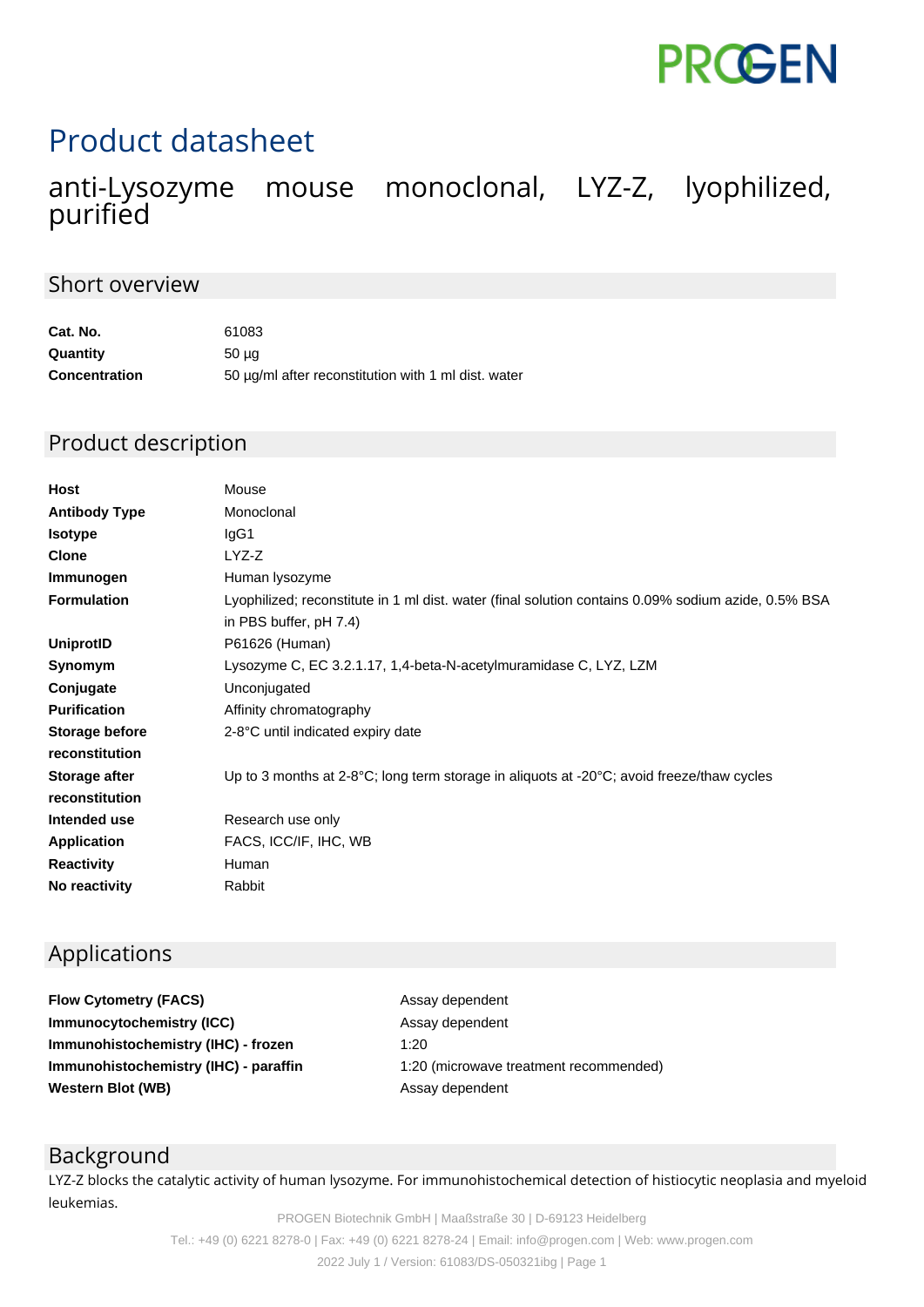

# Product datasheet

# mouse monoclonal, LYZ-Z, lyophilized, anti-Lysozyme<br>purified

#### Short overview

| Cat. No.             | 61083                                               |
|----------------------|-----------------------------------------------------|
| Quantity             | 50 ua                                               |
| <b>Concentration</b> | 50 µg/ml after reconstitution with 1 ml dist. water |

#### Product description

| Monoclonal<br><b>Antibody Type</b><br>IgG1<br><b>Isotype</b>                                                                                        |  |
|-----------------------------------------------------------------------------------------------------------------------------------------------------|--|
|                                                                                                                                                     |  |
|                                                                                                                                                     |  |
| LYZ-Z<br><b>Clone</b>                                                                                                                               |  |
| Immunogen<br>Human lysozyme                                                                                                                         |  |
| <b>Formulation</b><br>Lyophilized; reconstitute in 1 ml dist. water (final solution contains 0.09% sodium azide, 0.5% BSA<br>in PBS buffer, pH 7.4) |  |
| P61626 (Human)<br>UniprotID                                                                                                                         |  |
| Lysozyme C, EC 3.2.1.17, 1,4-beta-N-acetylmuramidase C, LYZ, LZM<br>Synomym                                                                         |  |
| Conjugate<br>Unconjugated                                                                                                                           |  |
| <b>Purification</b><br>Affinity chromatography                                                                                                      |  |
| Storage before<br>2-8°C until indicated expiry date                                                                                                 |  |
| reconstitution                                                                                                                                      |  |
| Up to 3 months at 2-8°C; long term storage in aliquots at -20°C; avoid freeze/thaw cycles<br>Storage after                                          |  |
| reconstitution                                                                                                                                      |  |
| Intended use<br>Research use only                                                                                                                   |  |
| FACS, ICC/IF, IHC, WB<br><b>Application</b>                                                                                                         |  |
| <b>Reactivity</b><br>Human                                                                                                                          |  |
| No reactivity<br>Rabbit                                                                                                                             |  |

## Applications

**Flow Cytometry (FACS)** Assay dependent **Immunocytochemistry (ICC)** Assay dependent **Immunohistochemistry (IHC) - frozen** 1:20 **Western Blot (WB)** Assay dependent

**Immunohistochemistry (IHC) - paraffin** 1:20 (microwave treatment recommended)

## Background

LYZ-Z blocks the catalytic activity of human lysozyme. For immunohistochemical detection of histiocytic neoplasia and myeloid leukemias.

PROGEN Biotechnik GmbH | Maaßstraße 30 | D-69123 Heidelberg Tel.: +49 (0) 6221 8278-0 | Fax: +49 (0) 6221 8278-24 | Email: info@progen.com | Web: www.progen.com 2022 July 1 / Version: 61083/DS-050321ibg | Page 1